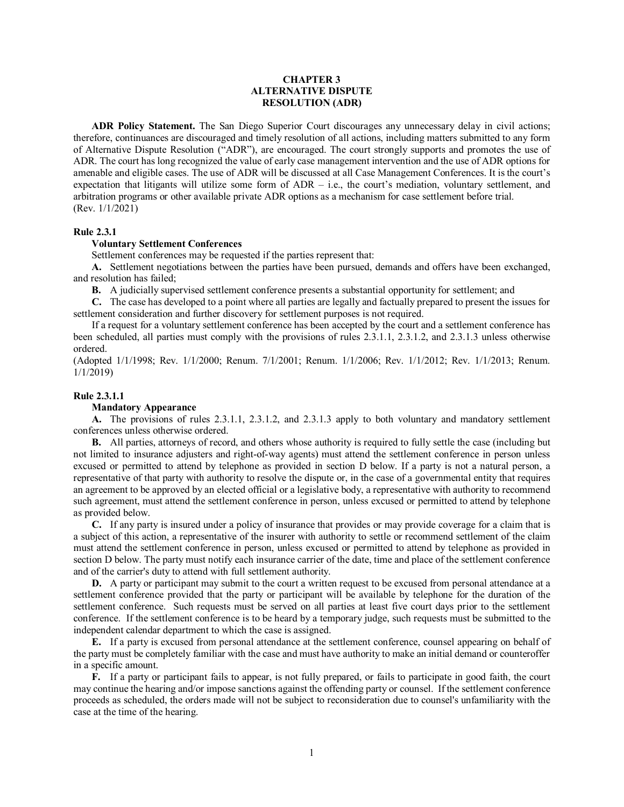# **CHAPTER 3 ALTERNATIVE DISPUTE RESOLUTION (ADR)**

**ADR Policy Statement.** The San Diego Superior Court discourages any unnecessary delay in civil actions; therefore, continuances are discouraged and timely resolution of all actions, including matters submitted to any form of Alternative Dispute Resolution ("ADR"), are encouraged. The court strongly supports and promotes the use of ADR. The court has long recognized the value of early case management intervention and the use of ADR options for amenable and eligible cases. The use of ADR will be discussed at all Case Management Conferences. It is the court's expectation that litigants will utilize some form of ADR – i.e., the court's mediation, voluntary settlement, and arbitration programs or other available private ADR options as a mechanism for case settlement before trial. (Rev. 1/1/2021)

#### **Rule 2.3.1**

## **Voluntary Settlement Conferences**

Settlement conferences may be requested if the parties represent that:

**A.** Settlement negotiations between the parties have been pursued, demands and offers have been exchanged, and resolution has failed;

**B.** A judicially supervised settlement conference presents a substantial opportunity for settlement; and

**C.** The case has developed to a point where all parties are legally and factually prepared to present the issues for settlement consideration and further discovery for settlement purposes is not required.

If a request for a voluntary settlement conference has been accepted by the court and a settlement conference has been scheduled, all parties must comply with the provisions of rules 2.3.1.1, 2.3.1.2, and 2.3.1.3 unless otherwise ordered.

(Adopted 1/1/1998; Rev. 1/1/2000; Renum. 7/1/2001; Renum. 1/1/2006; Rev. 1/1/2012; Rev. 1/1/2013; Renum. 1/1/2019)

### **Rule 2.3.1.1**

# **Mandatory Appearance**

**A.** The provisions of rules 2.3.1.1, 2.3.1.2, and 2.3.1.3 apply to both voluntary and mandatory settlement conferences unless otherwise ordered.

**B.** All parties, attorneys of record, and others whose authority is required to fully settle the case (including but not limited to insurance adjusters and right-of-way agents) must attend the settlement conference in person unless excused or permitted to attend by telephone as provided in section D below. If a party is not a natural person, a representative of that party with authority to resolve the dispute or, in the case of a governmental entity that requires an agreement to be approved by an elected official or a legislative body, a representative with authority to recommend such agreement, must attend the settlement conference in person, unless excused or permitted to attend by telephone as provided below.

**C.** If any party is insured under a policy of insurance that provides or may provide coverage for a claim that is a subject of this action, a representative of the insurer with authority to settle or recommend settlement of the claim must attend the settlement conference in person, unless excused or permitted to attend by telephone as provided in section D below. The party must notify each insurance carrier of the date, time and place of the settlement conference and of the carrier's duty to attend with full settlement authority.

**D.** A party or participant may submit to the court a written request to be excused from personal attendance at a settlement conference provided that the party or participant will be available by telephone for the duration of the settlement conference. Such requests must be served on all parties at least five court days prior to the settlement conference. If the settlement conference is to be heard by a temporary judge, such requests must be submitted to the independent calendar department to which the case is assigned.

**E.** If a party is excused from personal attendance at the settlement conference, counsel appearing on behalf of the party must be completely familiar with the case and must have authority to make an initial demand or counteroffer in a specific amount.

**F.** If a party or participant fails to appear, is not fully prepared, or fails to participate in good faith, the court may continue the hearing and/or impose sanctions against the offending party or counsel. If the settlement conference proceeds as scheduled, the orders made will not be subject to reconsideration due to counsel's unfamiliarity with the case at the time of the hearing.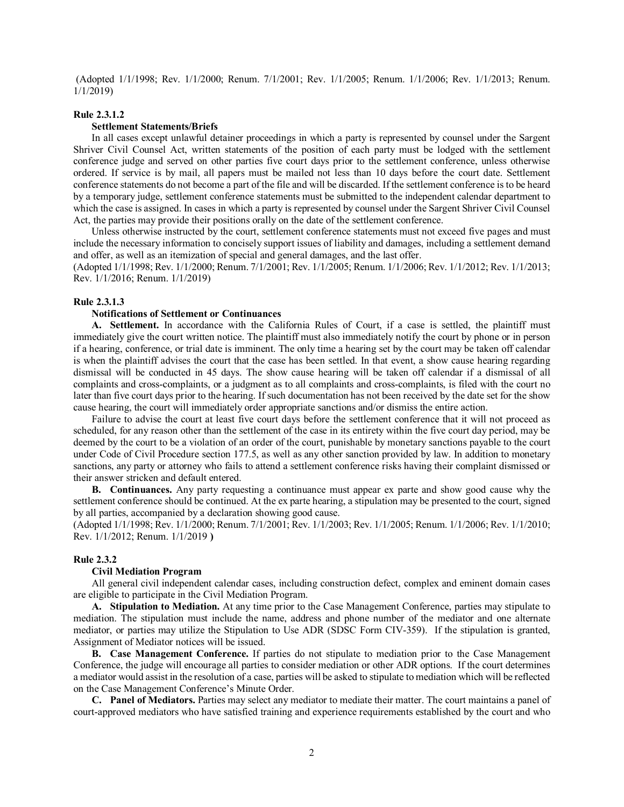(Adopted 1/1/1998; Rev. 1/1/2000; Renum. 7/1/2001; Rev. 1/1/2005; Renum. 1/1/2006; Rev. 1/1/2013; Renum. 1/1/2019)

#### **Rule 2.3.1.2**

### **Settlement Statements/Briefs**

In all cases except unlawful detainer proceedings in which a party is represented by counsel under the Sargent Shriver Civil Counsel Act, written statements of the position of each party must be lodged with the settlement conference judge and served on other parties five court days prior to the settlement conference, unless otherwise ordered. If service is by mail, all papers must be mailed not less than 10 days before the court date. Settlement conference statements do not become a part of the file and will be discarded. If the settlement conference is to be heard by a temporary judge, settlement conference statements must be submitted to the independent calendar department to which the case is assigned. In cases in which a party is represented by counsel under the Sargent Shriver Civil Counsel Act, the parties may provide their positions orally on the date of the settlement conference.

Unless otherwise instructed by the court, settlement conference statements must not exceed five pages and must include the necessary information to concisely support issues of liability and damages, including a settlement demand and offer, as well as an itemization of special and general damages, and the last offer.

(Adopted 1/1/1998; Rev. 1/1/2000; Renum. 7/1/2001; Rev. 1/1/2005; Renum. 1/1/2006; Rev. 1/1/2012; Rev. 1/1/2013; Rev. 1/1/2016; Renum. 1/1/2019)

# **Rule 2.3.1.3**

#### **Notifications of Settlement or Continuances**

**A. Settlement.** In accordance with the California Rules of Court, if a case is settled, the plaintiff must immediately give the court written notice. The plaintiff must also immediately notify the court by phone or in person if a hearing, conference, or trial date is imminent. The only time a hearing set by the court may be taken off calendar is when the plaintiff advises the court that the case has been settled. In that event, a show cause hearing regarding dismissal will be conducted in 45 days. The show cause hearing will be taken off calendar if a dismissal of all complaints and cross-complaints, or a judgment as to all complaints and cross-complaints, is filed with the court no later than five court days prior to the hearing. If such documentation has not been received by the date set for the show cause hearing, the court will immediately order appropriate sanctions and/or dismiss the entire action.

Failure to advise the court at least five court days before the settlement conference that it will not proceed as scheduled, for any reason other than the settlement of the case in its entirety within the five court day period, may be deemed by the court to be a violation of an order of the court, punishable by monetary sanctions payable to the court under Code of Civil Procedure section 177.5, as well as any other sanction provided by law. In addition to monetary sanctions, any party or attorney who fails to attend a settlement conference risks having their complaint dismissed or their answer stricken and default entered.

**B. Continuances.** Any party requesting a continuance must appear ex parte and show good cause why the settlement conference should be continued. At the ex parte hearing, a stipulation may be presented to the court, signed by all parties, accompanied by a declaration showing good cause.

(Adopted 1/1/1998; Rev. 1/1/2000; Renum. 7/1/2001; Rev. 1/1/2003; Rev. 1/1/2005; Renum. 1/1/2006; Rev. 1/1/2010; Rev. 1/1/2012; Renum. 1/1/2019 **)**

#### **Rule 2.3.2**

## **Civil Mediation Program**

All general civil independent calendar cases, including construction defect, complex and eminent domain cases are eligible to participate in the Civil Mediation Program.

**A. Stipulation to Mediation.** At any time prior to the Case Management Conference, parties may stipulate to mediation. The stipulation must include the name, address and phone number of the mediator and one alternate mediator, or parties may utilize the Stipulation to Use ADR (SDSC Form CIV-359). If the stipulation is granted, Assignment of Mediator notices will be issued.

**B. Case Management Conference.** If parties do not stipulate to mediation prior to the Case Management Conference, the judge will encourage all parties to consider mediation or other ADR options. If the court determines a mediator would assist in the resolution of a case, parties will be asked to stipulate to mediation which will be reflected on the Case Management Conference's Minute Order.

**C. Panel of Mediators.** Parties may select any mediator to mediate their matter. The court maintains a panel of court-approved mediators who have satisfied training and experience requirements established by the court and who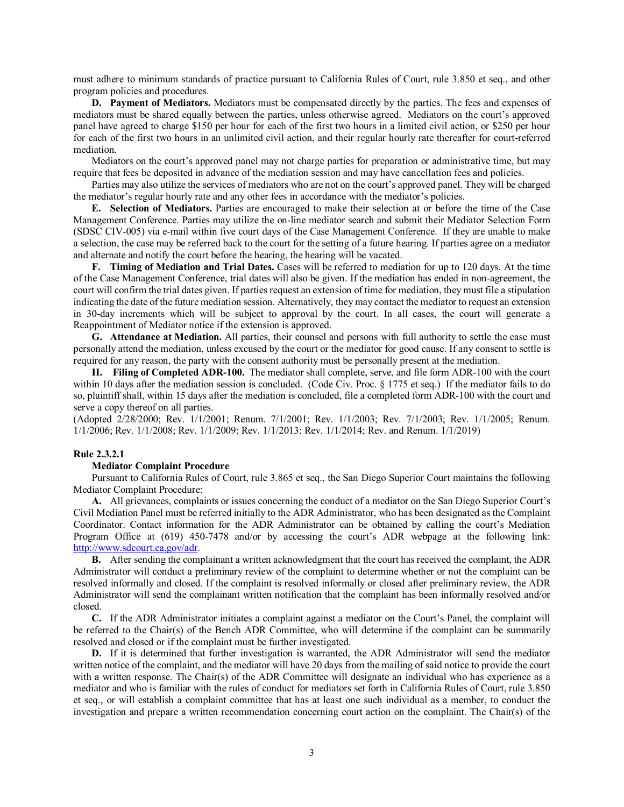must adhere to minimum standards of practice pursuant to California Rules of Court, rule 3.850 et seq., and other program policies and procedures.

**D. Payment of Mediators.** Mediators must be compensated directly by the parties. The fees and expenses of mediators must be shared equally between the parties, unless otherwise agreed. Mediators on the court's approved panel have agreed to charge \$150 per hour for each of the first two hours in a limited civil action, or \$250 per hour for each of the first two hours in an unlimited civil action, and their regular hourly rate thereafter for court-referred mediation.

Mediators on the court's approved panel may not charge parties for preparation or administrative time, but may require that fees be deposited in advance of the mediation session and may have cancellation fees and policies.

Parties may also utilize the services of mediators who are not on the court's approved panel. They will be charged the mediator's regular hourly rate and any other fees in accordance with the mediator's policies.

**E. Selection of Mediators.** Parties are encouraged to make their selection at or before the time of the Case Management Conference. Parties may utilize the on-line mediator search and submit their Mediator Selection Form (SDSC CIV-005) via e-mail within five court days of the Case Management Conference. If they are unable to make a selection, the case may be referred back to the court for the setting of a future hearing. If parties agree on a mediator and alternate and notify the court before the hearing, the hearing will be vacated.

**F. Timing of Mediation and Trial Dates.** Cases will be referred to mediation for up to 120 days. At the time of the Case Management Conference, trial dates will also be given. If the mediation has ended in non-agreement, the court will confirm the trial dates given. If parties request an extension of time for mediation, they must file a stipulation indicating the date of the future mediation session. Alternatively, they may contact the mediator to request an extension in 30-day increments which will be subject to approval by the court. In all cases, the court will generate a Reappointment of Mediator notice if the extension is approved.

**G. Attendance at Mediation.** All parties, their counsel and persons with full authority to settle the case must personally attend the mediation, unless excused by the court or the mediator for good cause. If any consent to settle is required for any reason, the party with the consent authority must be personally present at the mediation.

**H. Filing of Completed ADR-100.** The mediator shall complete, serve, and file form ADR-100 with the court within 10 days after the mediation session is concluded. (Code Civ. Proc. § 1775 et seq.) If the mediator fails to do so, plaintiff shall, within 15 days after the mediation is concluded, file a completed form ADR-100 with the court and serve a copy thereof on all parties.

(Adopted 2/28/2000; Rev. 1/1/2001; Renum. 7/1/2001; Rev. 1/1/2003; Rev. 7/1/2003; Rev. 1/1/2005; Renum. 1/1/2006; Rev. 1/1/2008; Rev. 1/1/2009; Rev. 1/1/2013; Rev. 1/1/2014; Rev. and Renum. 1/1/2019)

# **Rule 2.3.2.1**

### **Mediator Complaint Procedure**

Pursuant to California Rules of Court, rule 3.865 et seq., the San Diego Superior Court maintains the following Mediator Complaint Procedure:

**A.** All grievances, complaints or issues concerning the conduct of a mediator on the San Diego Superior Court's Civil Mediation Panel must be referred initially to the ADR Administrator, who has been designated as the Complaint Coordinator. Contact information for the ADR Administrator can be obtained by calling the court's Mediation Program Office at (619) 450-7478 and/or by accessing the court's ADR webpage at the following link: [http://www.sdcourt.ca.gov/adr.](http://www.sdcourt.ca.gov/adr)

**B.** After sending the complainant a written acknowledgment that the court has received the complaint, the ADR Administrator will conduct a preliminary review of the complaint to determine whether or not the complaint can be resolved informally and closed. If the complaint is resolved informally or closed after preliminary review, the ADR Administrator will send the complainant written notification that the complaint has been informally resolved and/or closed.

**C.** If the ADR Administrator initiates a complaint against a mediator on the Court's Panel, the complaint will be referred to the Chair(s) of the Bench ADR Committee, who will determine if the complaint can be summarily resolved and closed or if the complaint must be further investigated.

**D.** If it is determined that further investigation is warranted, the ADR Administrator will send the mediator written notice of the complaint, and the mediator will have 20 days from the mailing of said notice to provide the court with a written response. The Chair(s) of the ADR Committee will designate an individual who has experience as a mediator and who is familiar with the rules of conduct for mediators set forth in California Rules of Court, rule 3.850 et seq., or will establish a complaint committee that has at least one such individual as a member, to conduct the investigation and prepare a written recommendation concerning court action on the complaint. The Chair(s) of the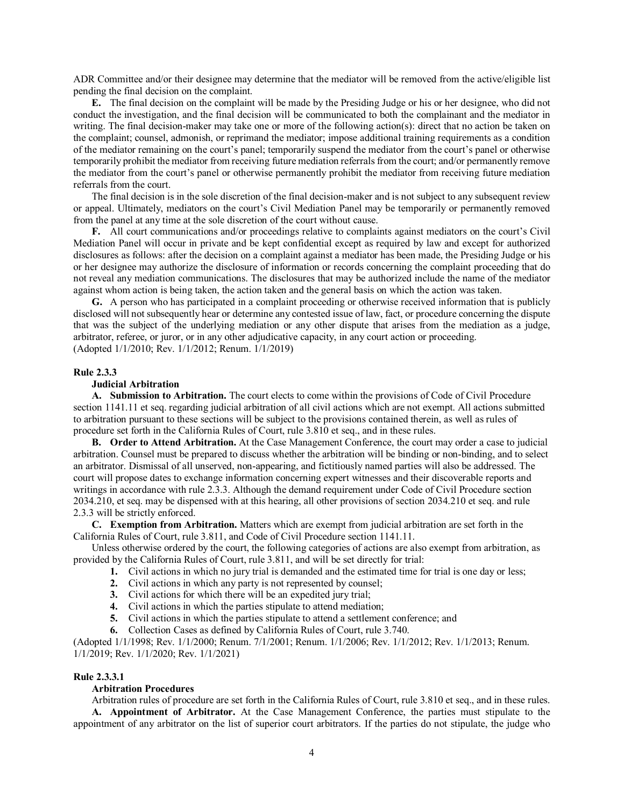ADR Committee and/or their designee may determine that the mediator will be removed from the active/eligible list pending the final decision on the complaint.

**E.** The final decision on the complaint will be made by the Presiding Judge or his or her designee, who did not conduct the investigation, and the final decision will be communicated to both the complainant and the mediator in writing. The final decision-maker may take one or more of the following action(s): direct that no action be taken on the complaint; counsel, admonish, or reprimand the mediator; impose additional training requirements as a condition of the mediator remaining on the court's panel; temporarily suspend the mediator from the court's panel or otherwise temporarily prohibit the mediator from receiving future mediation referrals from the court; and/or permanently remove the mediator from the court's panel or otherwise permanently prohibit the mediator from receiving future mediation referrals from the court.

The final decision is in the sole discretion of the final decision-maker and is not subject to any subsequent review or appeal. Ultimately, mediators on the court's Civil Mediation Panel may be temporarily or permanently removed from the panel at any time at the sole discretion of the court without cause.

**F.** All court communications and/or proceedings relative to complaints against mediators on the court's Civil Mediation Panel will occur in private and be kept confidential except as required by law and except for authorized disclosures as follows: after the decision on a complaint against a mediator has been made, the Presiding Judge or his or her designee may authorize the disclosure of information or records concerning the complaint proceeding that do not reveal any mediation communications. The disclosures that may be authorized include the name of the mediator against whom action is being taken, the action taken and the general basis on which the action was taken.

**G.** A person who has participated in a complaint proceeding or otherwise received information that is publicly disclosed will not subsequently hear or determine any contested issue of law, fact, or procedure concerning the dispute that was the subject of the underlying mediation or any other dispute that arises from the mediation as a judge, arbitrator, referee, or juror, or in any other adjudicative capacity, in any court action or proceeding. (Adopted 1/1/2010; Rev. 1/1/2012; Renum. 1/1/2019)

## **Rule 2.3.3**

### **Judicial Arbitration**

**A. Submission to Arbitration.** The court elects to come within the provisions of Code of Civil Procedure section 1141.11 et seq. regarding judicial arbitration of all civil actions which are not exempt. All actions submitted to arbitration pursuant to these sections will be subject to the provisions contained therein, as well as rules of procedure set forth in the California Rules of Court, rule 3.810 et seq., and in these rules.

**B. Order to Attend Arbitration.** At the Case Management Conference, the court may order a case to judicial arbitration. Counsel must be prepared to discuss whether the arbitration will be binding or non-binding, and to select an arbitrator. Dismissal of all unserved, non-appearing, and fictitiously named parties will also be addressed. The court will propose dates to exchange information concerning expert witnesses and their discoverable reports and writings in accordance with rule 2.3.3. Although the demand requirement under Code of Civil Procedure section 2034.210, et seq. may be dispensed with at this hearing, all other provisions of section 2034.210 et seq. and rule 2.3.3 will be strictly enforced.

**C. Exemption from Arbitration.** Matters which are exempt from judicial arbitration are set forth in the California Rules of Court, rule 3.811, and Code of Civil Procedure section 1141.11.

Unless otherwise ordered by the court, the following categories of actions are also exempt from arbitration, as provided by the California Rules of Court, rule 3.811, and will be set directly for trial:

- **1.** Civil actions in which no jury trial is demanded and the estimated time for trial is one day or less;
- **2.** Civil actions in which any party is not represented by counsel;
- **3.** Civil actions for which there will be an expedited jury trial;
- **4.** Civil actions in which the parties stipulate to attend mediation;
- **5.** Civil actions in which the parties stipulate to attend a settlement conference; and
- **6.** Collection Cases as defined by California Rules of Court, rule 3.740.

(Adopted 1/1/1998; Rev. 1/1/2000; Renum. 7/1/2001; Renum. 1/1/2006; Rev. 1/1/2012; Rev. 1/1/2013; Renum. 1/1/2019; Rev. 1/1/2020; Rev. 1/1/2021)

## **Rule 2.3.3.1**

# **Arbitration Procedures**

Arbitration rules of procedure are set forth in the California Rules of Court, rule 3.810 et seq., and in these rules.

**A. Appointment of Arbitrator.** At the Case Management Conference, the parties must stipulate to the appointment of any arbitrator on the list of superior court arbitrators. If the parties do not stipulate, the judge who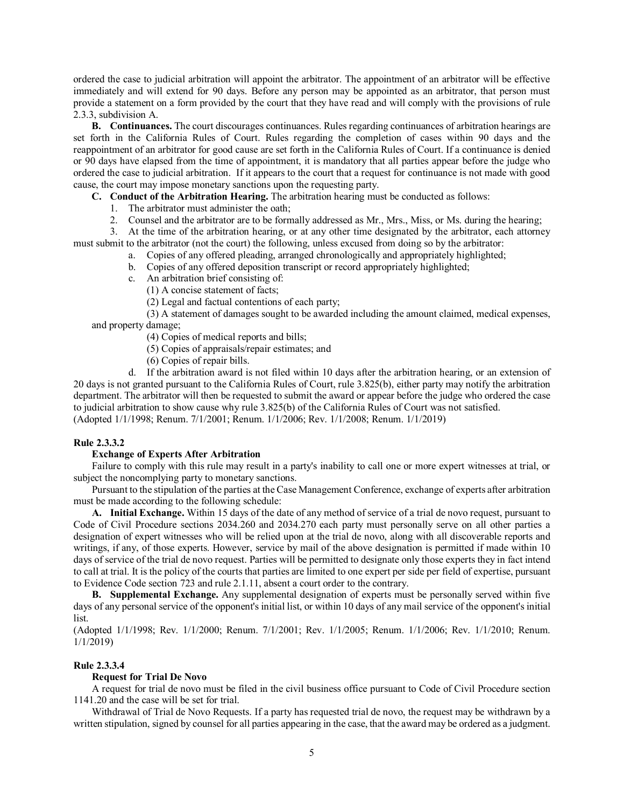ordered the case to judicial arbitration will appoint the arbitrator. The appointment of an arbitrator will be effective immediately and will extend for 90 days. Before any person may be appointed as an arbitrator, that person must provide a statement on a form provided by the court that they have read and will comply with the provisions of rule 2.3.3, subdivision A.

**B. Continuances.** The court discourages continuances. Rules regarding continuances of arbitration hearings are set forth in the California Rules of Court. Rules regarding the completion of cases within 90 days and the reappointment of an arbitrator for good cause are set forth in the California Rules of Court. If a continuance is denied or 90 days have elapsed from the time of appointment, it is mandatory that all parties appear before the judge who ordered the case to judicial arbitration. If it appears to the court that a request for continuance is not made with good cause, the court may impose monetary sanctions upon the requesting party.

**C. Conduct of the Arbitration Hearing.** The arbitration hearing must be conducted as follows:

- 1. The arbitrator must administer the oath;
- 2. Counsel and the arbitrator are to be formally addressed as Mr., Mrs., Miss, or Ms. during the hearing;

3. At the time of the arbitration hearing, or at any other time designated by the arbitrator, each attorney must submit to the arbitrator (not the court) the following, unless excused from doing so by the arbitrator:

- a. Copies of any offered pleading, arranged chronologically and appropriately highlighted;
- b. Copies of any offered deposition transcript or record appropriately highlighted;
- c. An arbitration brief consisting of:
	- (1) A concise statement of facts;

(2) Legal and factual contentions of each party;

(3) A statement of damages sought to be awarded including the amount claimed, medical expenses, and property damage;

(4) Copies of medical reports and bills;

- (5) Copies of appraisals/repair estimates; and
- (6) Copies of repair bills.

d. If the arbitration award is not filed within 10 days after the arbitration hearing, or an extension of 20 days is not granted pursuant to the California Rules of Court, rule 3.825(b), either party may notify the arbitration department. The arbitrator will then be requested to submit the award or appear before the judge who ordered the case to judicial arbitration to show cause why rule 3.825(b) of the California Rules of Court was not satisfied. (Adopted 1/1/1998; Renum. 7/1/2001; Renum. 1/1/2006; Rev. 1/1/2008; Renum. 1/1/2019)

#### **Rule 2.3.3.2**

### **Exchange of Experts After Arbitration**

Failure to comply with this rule may result in a party's inability to call one or more expert witnesses at trial, or subject the noncomplying party to monetary sanctions.

Pursuant to the stipulation of the parties at the Case Management Conference, exchange of experts after arbitration must be made according to the following schedule:

**A. Initial Exchange.** Within 15 days of the date of any method of service of a trial de novo request, pursuant to Code of Civil Procedure sections 2034.260 and 2034.270 each party must personally serve on all other parties a designation of expert witnesses who will be relied upon at the trial de novo, along with all discoverable reports and writings, if any, of those experts. However, service by mail of the above designation is permitted if made within 10 days of service of the trial de novo request. Parties will be permitted to designate only those experts they in fact intend to call at trial. It is the policy of the courts that parties are limited to one expert per side per field of expertise, pursuant to Evidence Code section 723 and rule 2.1.11, absent a court order to the contrary.

**B. Supplemental Exchange.** Any supplemental designation of experts must be personally served within five days of any personal service of the opponent's initial list, or within 10 days of any mail service of the opponent's initial list.

(Adopted 1/1/1998; Rev. 1/1/2000; Renum. 7/1/2001; Rev. 1/1/2005; Renum. 1/1/2006; Rev. 1/1/2010; Renum. 1/1/2019)

#### **Rule 2.3.3.4**

#### **Request for Trial De Novo**

A request for trial de novo must be filed in the civil business office pursuant to Code of Civil Procedure section 1141.20 and the case will be set for trial.

Withdrawal of Trial de Novo Requests. If a party has requested trial de novo, the request may be withdrawn by a written stipulation, signed by counsel for all parties appearing in the case, that the award may be ordered as a judgment.